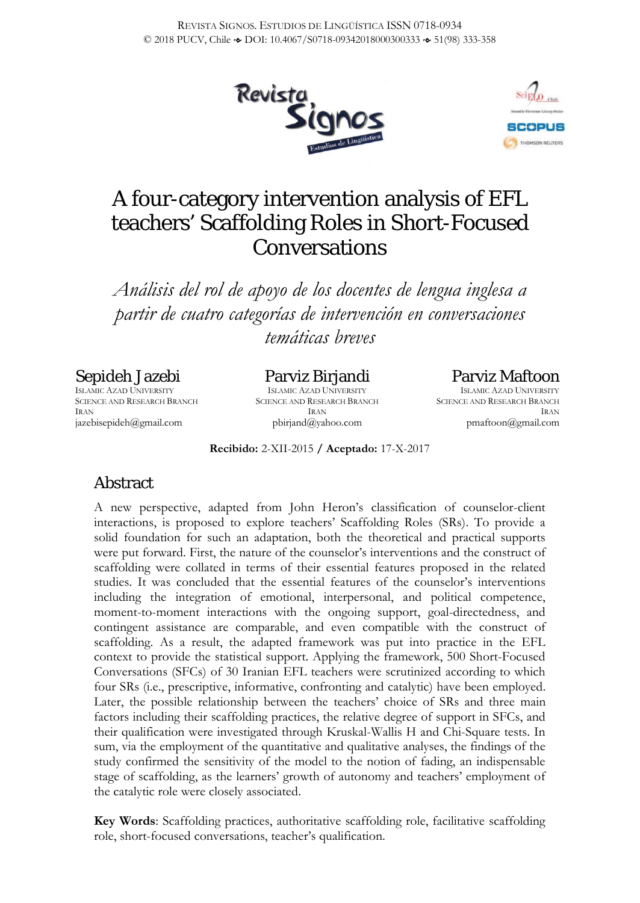



# A four-category intervention analysis of EFL teachers' Scaffolding Roles in Short-Focused **Conversations**

*Análisis del rol de apoyo de los docentes de lengua inglesa a partir de cuatro categorías de intervención en conversaciones temáticas breves*

Sepideh Jazebi

ISLAMIC AZAD UNIVERSITY SCIENCE AND RESEARCH BRANCH IRAN jazebisepideh@gmail.com

Parviz Birjandi

ISLAMIC AZAD UNIVERSITY SCIENCE AND RESEARCH BRANCH IRAN pbirjand@yahoo.com

Parviz Maftoon

ISLAMIC AZAD UNIVERSITY SCIENCE AND RESEARCH BRANCH IRAN pmaftoon@gmail.com

**Recibido:** 2-XII-2015 **/ Aceptado:** 17-X-2017

# Abstract

A new perspective, adapted from John Heron's classification of counselor-client interactions, is proposed to explore teachers' Scaffolding Roles (SRs). To provide a solid foundation for such an adaptation, both the theoretical and practical supports were put forward. First, the nature of the counselor's interventions and the construct of scaffolding were collated in terms of their essential features proposed in the related studies. It was concluded that the essential features of the counselor's interventions including the integration of emotional, interpersonal, and political competence, moment-to-moment interactions with the ongoing support, goal-directedness, and contingent assistance are comparable, and even compatible with the construct of scaffolding. As a result, the adapted framework was put into practice in the EFL context to provide the statistical support. Applying the framework, 500 Short-Focused Conversations (SFCs) of 30 Iranian EFL teachers were scrutinized according to which four SRs (i.e., prescriptive, informative, confronting and catalytic) have been employed. Later, the possible relationship between the teachers' choice of SRs and three main factors including their scaffolding practices, the relative degree of support in SFCs, and their qualification were investigated through Kruskal-Wallis H and Chi-Square tests. In sum, via the employment of the quantitative and qualitative analyses, the findings of the study confirmed the sensitivity of the model to the notion of fading, an indispensable stage of scaffolding, as the learners' growth of autonomy and teachers' employment of the catalytic role were closely associated.

**Key Words**: Scaffolding practices, authoritative scaffolding role, facilitative scaffolding role, short-focused conversations, teacher's qualification.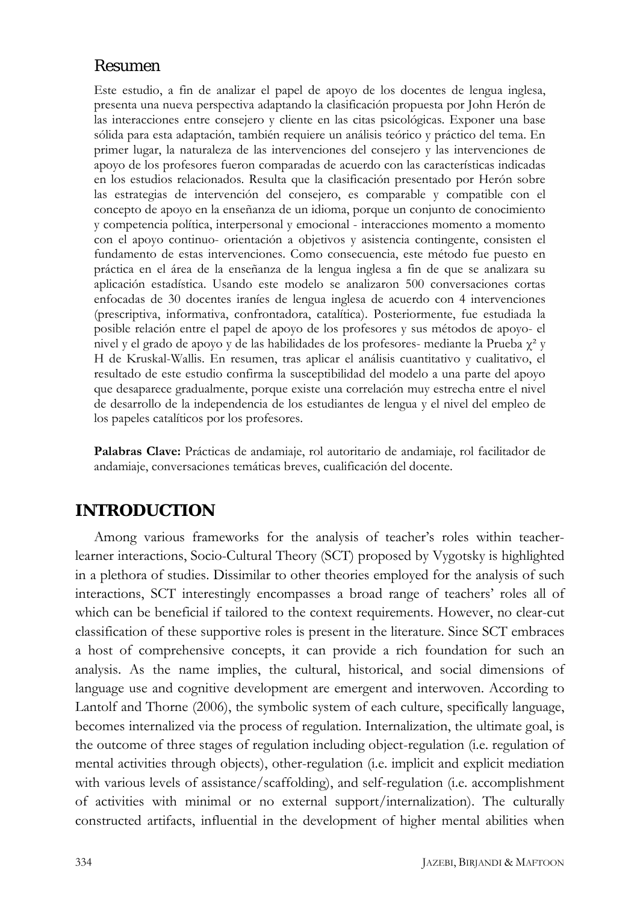#### Resumen

Este estudio, a fin de analizar el papel de apoyo de los docentes de lengua inglesa, presenta una nueva perspectiva adaptando la clasificación propuesta por John Herón de las interacciones entre consejero y cliente en las citas psicológicas. Exponer una base sólida para esta adaptación, también requiere un análisis teórico y práctico del tema. En primer lugar, la naturaleza de las intervenciones del consejero y las intervenciones de apoyo de los profesores fueron comparadas de acuerdo con las características indicadas en los estudios relacionados. Resulta que la clasificación presentado por Herón sobre las estrategias de intervención del consejero, es comparable y compatible con el concepto de apoyo en la enseñanza de un idioma, porque un conjunto de conocimiento y competencia política, interpersonal y emocional - interacciones momento a momento con el apoyo continuo- orientación a objetivos y asistencia contingente, consisten el fundamento de estas intervenciones. Como consecuencia, este método fue puesto en práctica en el área de la enseñanza de la lengua inglesa a fin de que se analizara su aplicación estadística. Usando este modelo se analizaron 500 conversaciones cortas enfocadas de 30 docentes iraníes de lengua inglesa de acuerdo con 4 intervenciones (prescriptiva, informativa, confrontadora, catalítica). Posteriormente, fue estudiada la posible relación entre el papel de apoyo de los profesores y sus métodos de apoyo- el nivel y el grado de apoyo y de las habilidades de los profesores- mediante la Prueba χ² y H de Kruskal-Wallis. En resumen, tras aplicar el análisis cuantitativo y cualitativo, el resultado de este estudio confirma la susceptibilidad del modelo a una parte del apoyo que desaparece gradualmente, porque existe una correlación muy estrecha entre el nivel de desarrollo de la independencia de los estudiantes de lengua y el nivel del empleo de los papeles catalíticos por los profesores.

**Palabras Clave:** Prácticas de andamiaje, rol autoritario de andamiaje, rol facilitador de andamiaje, conversaciones temáticas breves, cualificación del docente.

#### **INTRODUCTION**

Among various frameworks for the analysis of teacher's roles within teacherlearner interactions, Socio-Cultural Theory (SCT) proposed by Vygotsky is highlighted in a plethora of studies. Dissimilar to other theories employed for the analysis of such interactions, SCT interestingly encompasses a broad range of teachers' roles all of which can be beneficial if tailored to the context requirements. However, no clear-cut classification of these supportive roles is present in the literature. Since SCT embraces a host of comprehensive concepts, it can provide a rich foundation for such an analysis. As the name implies, the cultural, historical, and social dimensions of language use and cognitive development are emergent and interwoven. According to Lantolf and Thorne (2006), the symbolic system of each culture, specifically language, becomes internalized via the process of regulation. Internalization, the ultimate goal, is the outcome of three stages of regulation including object-regulation (i.e. regulation of mental activities through objects), other-regulation (i.e. implicit and explicit mediation with various levels of assistance/scaffolding), and self-regulation (i.e. accomplishment of activities with minimal or no external support/internalization). The culturally constructed artifacts, influential in the development of higher mental abilities when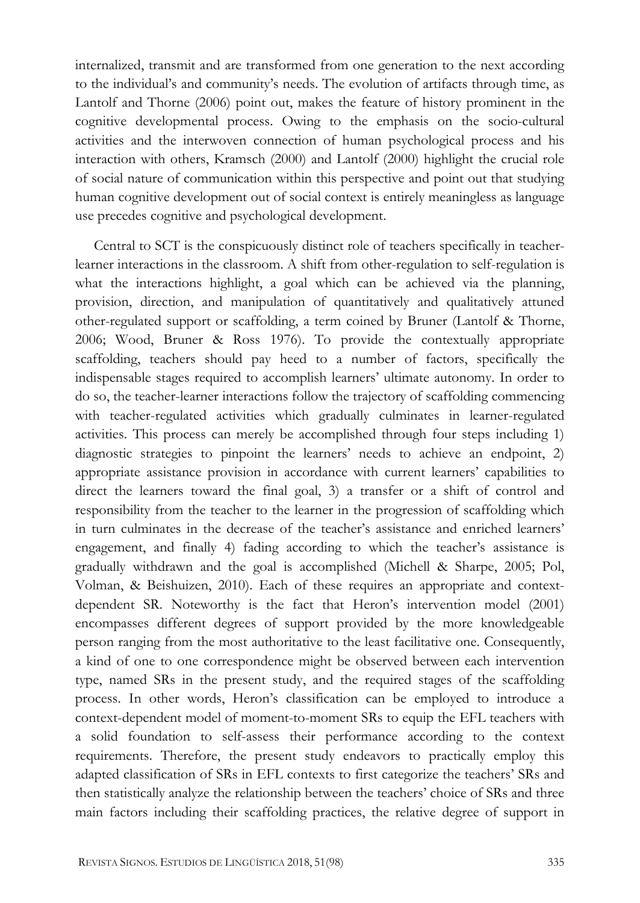internalized, transmit and are transformed from one generation to the next according to the individual's and community's needs. The evolution of artifacts through time, as Lantolf and Thorne (2006) point out, makes the feature of history prominent in the cognitive developmental process. Owing to the emphasis on the socio-cultural activities and the interwoven connection of human psychological process and his interaction with others, Kramsch (2000) and Lantolf (2000) highlight the crucial role of social nature of communication within this perspective and point out that studying human cognitive development out of social context is entirely meaningless as language use precedes cognitive and psychological development.

Central to SCT is the conspicuously distinct role of teachers specifically in teacherlearner interactions in the classroom. A shift from other-regulation to self-regulation is what the interactions highlight, a goal which can be achieved via the planning, provision, direction, and manipulation of quantitatively and qualitatively attuned other-regulated support or scaffolding, a term coined by Bruner (Lantolf & Thorne, 2006; Wood, Bruner & Ross 1976). To provide the contextually appropriate scaffolding, teachers should pay heed to a number of factors, specifically the indispensable stages required to accomplish learners' ultimate autonomy. In order to do so, the teacher-learner interactions follow the trajectory of scaffolding commencing with teacher-regulated activities which gradually culminates in learner-regulated activities. This process can merely be accomplished through four steps including 1) diagnostic strategies to pinpoint the learners' needs to achieve an endpoint, 2) appropriate assistance provision in accordance with current learners' capabilities to direct the learners toward the final goal, 3) a transfer or a shift of control and responsibility from the teacher to the learner in the progression of scaffolding which in turn culminates in the decrease of the teacher's assistance and enriched learners' engagement, and finally 4) fading according to which the teacher's assistance is gradually withdrawn and the goal is accomplished (Michell & Sharpe, 2005; Pol, Volman, & Beishuizen, 2010). Each of these requires an appropriate and contextdependent SR. Noteworthy is the fact that Heron's intervention model (2001) encompasses different degrees of support provided by the more knowledgeable person ranging from the most authoritative to the least facilitative one. Consequently, a kind of one to one correspondence might be observed between each intervention type, named SRs in the present study, and the required stages of the scaffolding process. In other words, Heron's classification can be employed to introduce a context-dependent model of moment-to-moment SRs to equip the EFL teachers with a solid foundation to self-assess their performance according to the context requirements. Therefore, the present study endeavors to practically employ this adapted classification of SRs in EFL contexts to first categorize the teachers' SRs and then statistically analyze the relationship between the teachers' choice of SRs and three main factors including their scaffolding practices, the relative degree of support in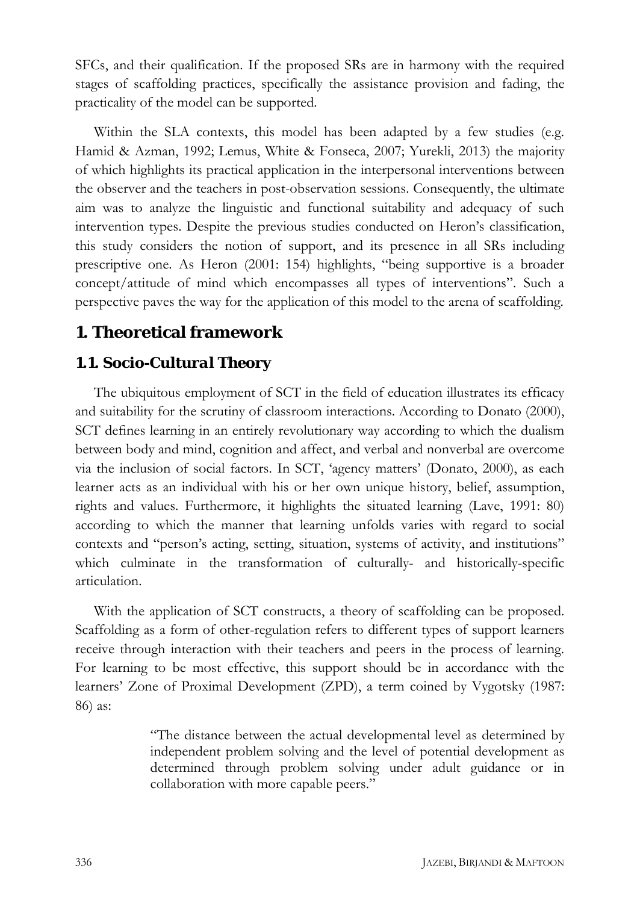SFCs, and their qualification. If the proposed SRs are in harmony with the required stages of scaffolding practices, specifically the assistance provision and fading, the practicality of the model can be supported.

Within the SLA contexts, this model has been adapted by a few studies (e.g. Hamid & Azman, 1992; Lemus, White & Fonseca, 2007; Yurekli, 2013) the majority of which highlights its practical application in the interpersonal interventions between the observer and the teachers in post-observation sessions. Consequently, the ultimate aim was to analyze the linguistic and functional suitability and adequacy of such intervention types. Despite the previous studies conducted on Heron's classification, this study considers the notion of support, and its presence in all SRs including prescriptive one. As Heron (2001: 154) highlights, "being supportive is a broader concept/attitude of mind which encompasses all types of interventions". Such a perspective paves the way for the application of this model to the arena of scaffolding.

# **1. Theoretical framework**

### *1.1. Socio-Cultural Theory*

The ubiquitous employment of SCT in the field of education illustrates its efficacy and suitability for the scrutiny of classroom interactions. According to Donato (2000), SCT defines learning in an entirely revolutionary way according to which the dualism between body and mind, cognition and affect, and verbal and nonverbal are overcome via the inclusion of social factors. In SCT, 'agency matters' (Donato, 2000), as each learner acts as an individual with his or her own unique history, belief, assumption, rights and values. Furthermore, it highlights the situated learning (Lave, 1991: 80) according to which the manner that learning unfolds varies with regard to social contexts and "person's acting, setting, situation, systems of activity, and institutions" which culminate in the transformation of culturally- and historically-specific articulation.

With the application of SCT constructs, a theory of scaffolding can be proposed. Scaffolding as a form of other-regulation refers to different types of support learners receive through interaction with their teachers and peers in the process of learning. For learning to be most effective, this support should be in accordance with the learners' Zone of Proximal Development (ZPD), a term coined by Vygotsky (1987: 86) as:

> "The distance between the actual developmental level as determined by independent problem solving and the level of potential development as determined through problem solving under adult guidance or in collaboration with more capable peers."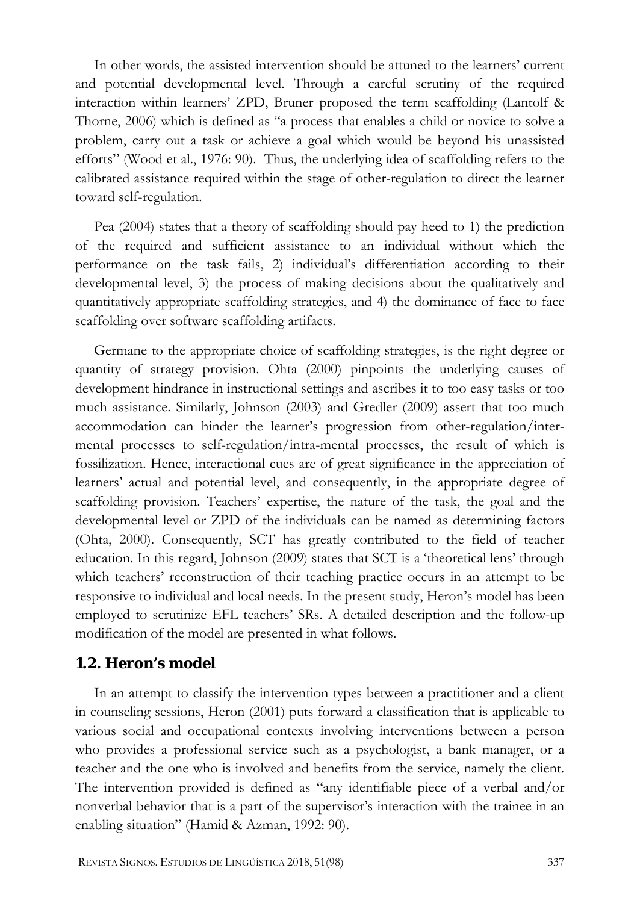In other words, the assisted intervention should be attuned to the learners' current and potential developmental level. Through a careful scrutiny of the required interaction within learners' ZPD, Bruner proposed the term scaffolding (Lantolf & Thorne, 2006) which is defined as "a process that enables a child or novice to solve a problem, carry out a task or achieve a goal which would be beyond his unassisted efforts" (Wood et al., 1976: 90). Thus, the underlying idea of scaffolding refers to the calibrated assistance required within the stage of other-regulation to direct the learner toward self-regulation.

Pea (2004) states that a theory of scaffolding should pay heed to 1) the prediction of the required and sufficient assistance to an individual without which the performance on the task fails, 2) individual's differentiation according to their developmental level, 3) the process of making decisions about the qualitatively and quantitatively appropriate scaffolding strategies, and 4) the dominance of face to face scaffolding over software scaffolding artifacts.

Germane to the appropriate choice of scaffolding strategies, is the right degree or quantity of strategy provision. Ohta (2000) pinpoints the underlying causes of development hindrance in instructional settings and ascribes it to too easy tasks or too much assistance. Similarly, Johnson (2003) and Gredler (2009) assert that too much accommodation can hinder the learner's progression from other-regulation/intermental processes to self-regulation/intra-mental processes, the result of which is fossilization. Hence, interactional cues are of great significance in the appreciation of learners' actual and potential level, and consequently, in the appropriate degree of scaffolding provision. Teachers' expertise, the nature of the task, the goal and the developmental level or ZPD of the individuals can be named as determining factors (Ohta, 2000). Consequently, SCT has greatly contributed to the field of teacher education. In this regard, Johnson (2009) states that SCT is a 'theoretical lens' through which teachers' reconstruction of their teaching practice occurs in an attempt to be responsive to individual and local needs. In the present study, Heron's model has been employed to scrutinize EFL teachers' SRs. A detailed description and the follow-up modification of the model are presented in what follows.

#### *1.2. Heron's model*

In an attempt to classify the intervention types between a practitioner and a client in counseling sessions, Heron (2001) puts forward a classification that is applicable to various social and occupational contexts involving interventions between a person who provides a professional service such as a psychologist, a bank manager, or a teacher and the one who is involved and benefits from the service, namely the client. The intervention provided is defined as "any identifiable piece of a verbal and/or nonverbal behavior that is a part of the supervisor's interaction with the trainee in an enabling situation" (Hamid & Azman, 1992: 90).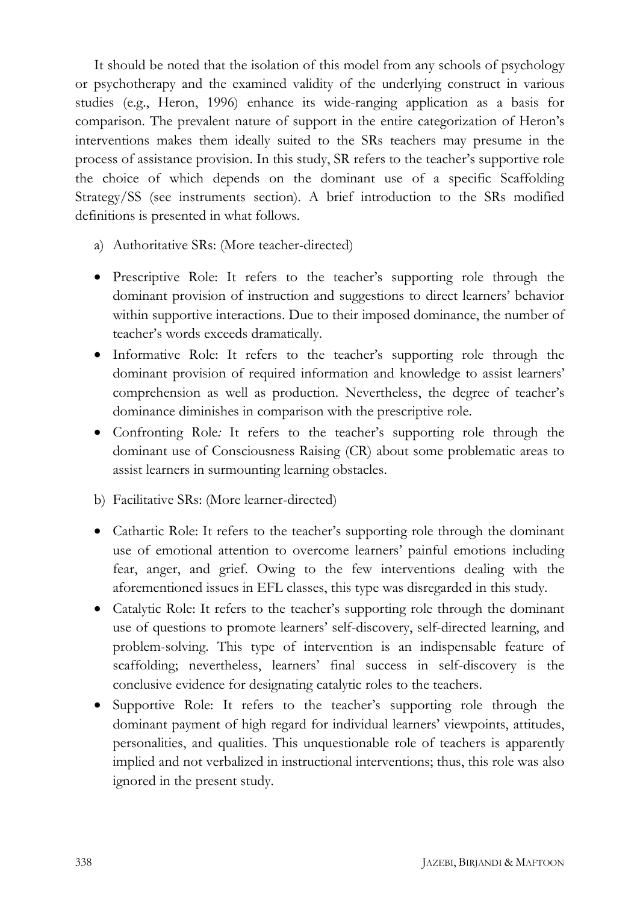It should be noted that the isolation of this model from any schools of psychology or psychotherapy and the examined validity of the underlying construct in various studies (e.g., Heron, 1996) enhance its wide-ranging application as a basis for comparison. The prevalent nature of support in the entire categorization of Heron's interventions makes them ideally suited to the SRs teachers may presume in the process of assistance provision. In this study, SR refers to the teacher's supportive role the choice of which depends on the dominant use of a specific Scaffolding Strategy/SS (see instruments section). A brief introduction to the SRs modified definitions is presented in what follows.

- a) Authoritative SRs: (More teacher-directed)
- Prescriptive Role: It refers to the teacher's supporting role through the dominant provision of instruction and suggestions to direct learners' behavior within supportive interactions. Due to their imposed dominance, the number of teacher's words exceeds dramatically.
- Informative Role: It refers to the teacher's supporting role through the dominant provision of required information and knowledge to assist learners' comprehension as well as production. Nevertheless, the degree of teacher's dominance diminishes in comparison with the prescriptive role.
- Confronting Role*:* It refers to the teacher's supporting role through the dominant use of Consciousness Raising (CR) about some problematic areas to assist learners in surmounting learning obstacles.
- b) Facilitative SRs: (More learner-directed)
- Cathartic Role: It refers to the teacher's supporting role through the dominant use of emotional attention to overcome learners' painful emotions including fear, anger, and grief. Owing to the few interventions dealing with the aforementioned issues in EFL classes, this type was disregarded in this study.
- Catalytic Role: It refers to the teacher's supporting role through the dominant use of questions to promote learners' self-discovery, self-directed learning, and problem-solving. This type of intervention is an indispensable feature of scaffolding; nevertheless, learners' final success in self-discovery is the conclusive evidence for designating catalytic roles to the teachers.
- Supportive Role: It refers to the teacher's supporting role through the dominant payment of high regard for individual learners' viewpoints, attitudes, personalities, and qualities. This unquestionable role of teachers is apparently implied and not verbalized in instructional interventions; thus, this role was also ignored in the present study.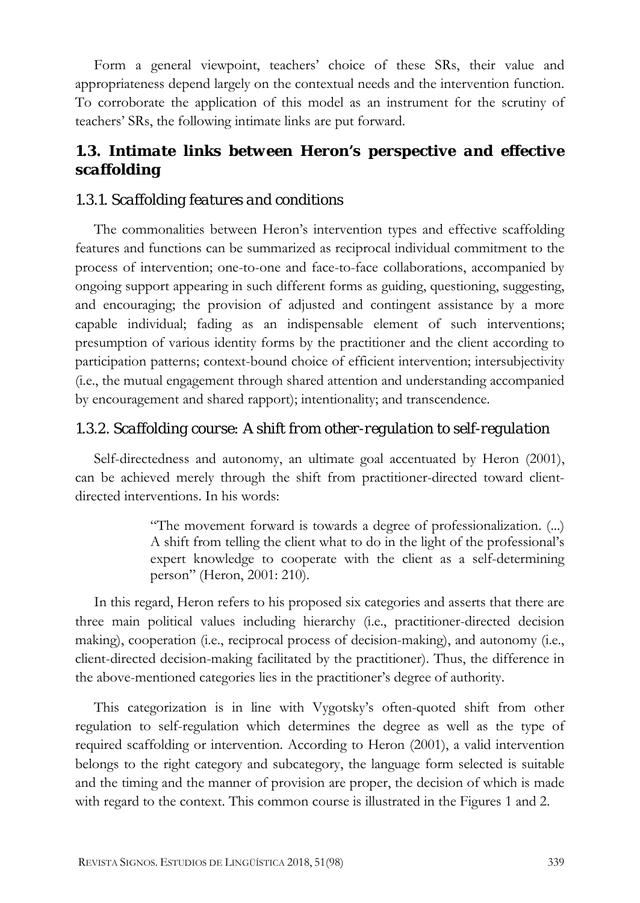Form a general viewpoint, teachers' choice of these SRs, their value and appropriateness depend largely on the contextual needs and the intervention function. To corroborate the application of this model as an instrument for the scrutiny of teachers' SRs, the following intimate links are put forward.

### *1.3. Intimate links between Heron's perspective and effective scaffolding*

#### *1.3.1. Scaffolding features and conditions*

The commonalities between Heron's intervention types and effective scaffolding features and functions can be summarized as reciprocal individual commitment to the process of intervention; one-to-one and face-to-face collaborations, accompanied by ongoing support appearing in such different forms as guiding, questioning, suggesting, and encouraging; the provision of adjusted and contingent assistance by a more capable individual; fading as an indispensable element of such interventions; presumption of various identity forms by the practitioner and the client according to participation patterns; context-bound choice of efficient intervention; intersubjectivity (i.e., the mutual engagement through shared attention and understanding accompanied by encouragement and shared rapport); intentionality; and transcendence.

#### *1.3.2. Scaffolding course: A shift from other-regulation to self-regulation*

Self-directedness and autonomy, an ultimate goal accentuated by Heron (2001), can be achieved merely through the shift from practitioner-directed toward clientdirected interventions. In his words:

> "The movement forward is towards a degree of professionalization. (...) A shift from telling the client what to do in the light of the professional's expert knowledge to cooperate with the client as a self-determining person" (Heron, 2001: 210).

In this regard, Heron refers to his proposed six categories and asserts that there are three main political values including hierarchy (i.e., practitioner-directed decision making), cooperation (i.e., reciprocal process of decision-making), and autonomy (i.e., client-directed decision-making facilitated by the practitioner). Thus, the difference in the above-mentioned categories lies in the practitioner's degree of authority.

This categorization is in line with Vygotsky's often-quoted shift from other regulation to self-regulation which determines the degree as well as the type of required scaffolding or intervention. According to Heron (2001), a valid intervention belongs to the right category and subcategory, the language form selected is suitable and the timing and the manner of provision are proper, the decision of which is made with regard to the context. This common course is illustrated in the Figures 1 and 2.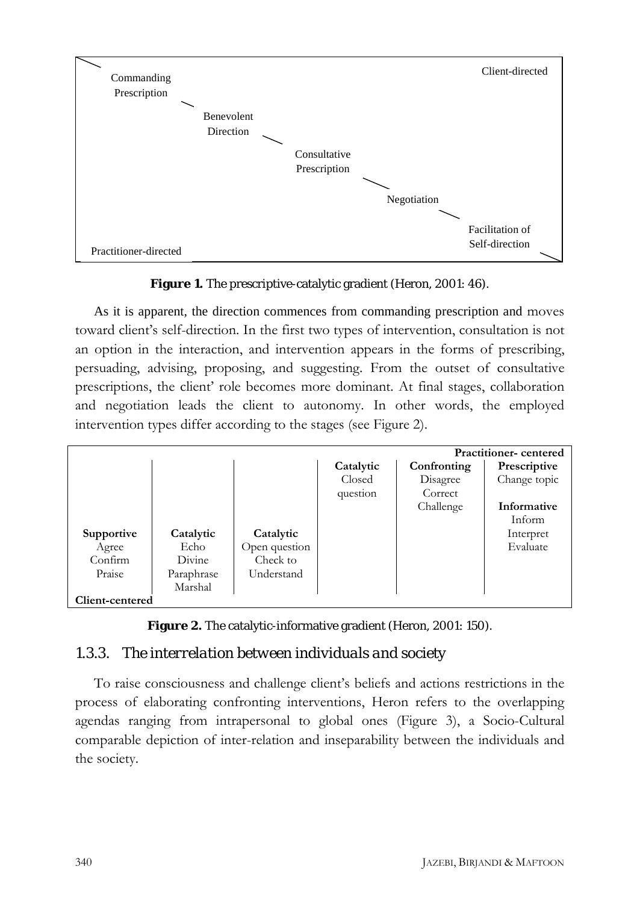

**Figure 1.** The prescriptive-catalytic gradient (Heron, 2001: 46).

As it is apparent, the direction commences from commanding prescription and moves toward client's self-direction. In the first two types of intervention, consultation is not an option in the interaction, and intervention appears in the forms of prescribing, persuading, advising, proposing, and suggesting. From the outset of consultative prescriptions, the client' role becomes more dominant. At final stages, collaboration and negotiation leads the client to autonomy. In other words, the employed intervention types differ according to the stages (see Figure 2).

|                 |            |               |           |             | Practitioner-centered |
|-----------------|------------|---------------|-----------|-------------|-----------------------|
|                 |            |               | Catalytic | Confronting | Prescriptive          |
|                 |            |               | Closed    | Disagree    | Change topic          |
|                 |            |               | question  | Correct     |                       |
|                 |            |               |           | Challenge   | <b>Informative</b>    |
|                 |            |               |           |             | Inform                |
| Supportive      | Catalytic  | Catalytic     |           |             | Interpret             |
| Agree           | Echo       | Open question |           |             | Evaluate              |
| Confirm         | Divine     | Check to      |           |             |                       |
| Praise          | Paraphrase | Understand    |           |             |                       |
|                 | Marshal    |               |           |             |                       |
| Client-centered |            |               |           |             |                       |



#### *1.3.3. The interrelation between individuals and society*

To raise consciousness and challenge client's beliefs and actions restrictions in the process of elaborating confronting interventions, Heron refers to the overlapping agendas ranging from intrapersonal to global ones (Figure 3), a Socio-Cultural comparable depiction of inter-relation and inseparability between the individuals and the society.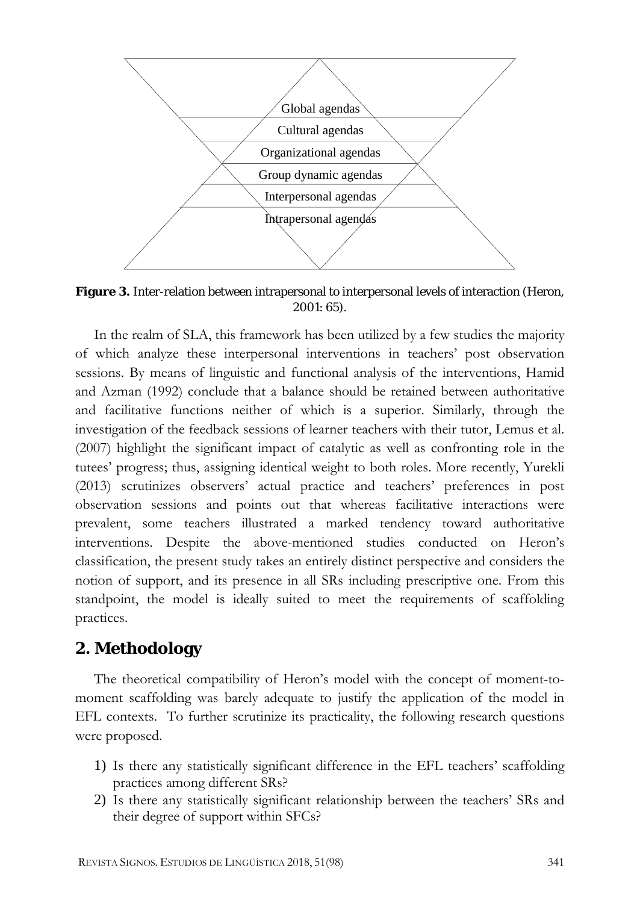

**Figure 3.** Inter-relation between intrapersonal to interpersonal levels of interaction (Heron, 2001: 65).

In the realm of SLA, this framework has been utilized by a few studies the majority of which analyze these interpersonal interventions in teachers' post observation sessions. By means of linguistic and functional analysis of the interventions, Hamid and Azman (1992) conclude that a balance should be retained between authoritative and facilitative functions neither of which is a superior. Similarly, through the investigation of the feedback sessions of learner teachers with their tutor, Lemus et al. (2007) highlight the significant impact of catalytic as well as confronting role in the tutees' progress; thus, assigning identical weight to both roles. More recently, Yurekli (2013) scrutinizes observers' actual practice and teachers' preferences in post observation sessions and points out that whereas facilitative interactions were prevalent, some teachers illustrated a marked tendency toward authoritative interventions. Despite the above-mentioned studies conducted on Heron's classification, the present study takes an entirely distinct perspective and considers the notion of support, and its presence in all SRs including prescriptive one. From this standpoint, the model is ideally suited to meet the requirements of scaffolding practices.

#### **2. Methodology**

The theoretical compatibility of Heron's model with the concept of moment-tomoment scaffolding was barely adequate to justify the application of the model in EFL contexts. To further scrutinize its practicality, the following research questions were proposed.

- 1) Is there any statistically significant difference in the EFL teachers' scaffolding practices among different SRs?
- 2) Is there any statistically significant relationship between the teachers' SRs and their degree of support within SFCs?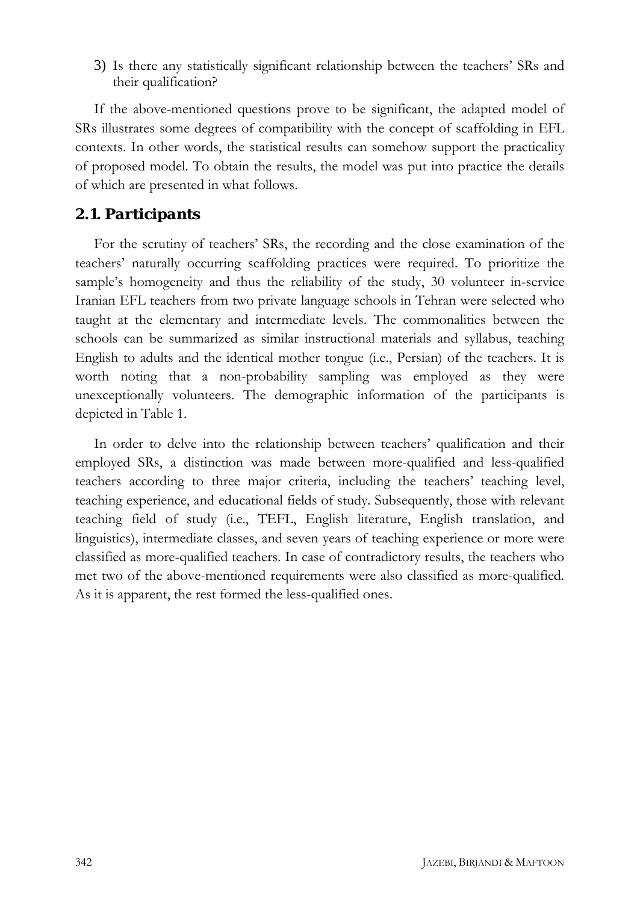3) Is there any statistically significant relationship between the teachers' SRs and their qualification?

If the above-mentioned questions prove to be significant, the adapted model of SRs illustrates some degrees of compatibility with the concept of scaffolding in EFL contexts. In other words, the statistical results can somehow support the practicality of proposed model. To obtain the results, the model was put into practice the details of which are presented in what follows.

### *2.1. Participants*

For the scrutiny of teachers' SRs, the recording and the close examination of the teachers' naturally occurring scaffolding practices were required. To prioritize the sample's homogeneity and thus the reliability of the study, 30 volunteer in-service Iranian EFL teachers from two private language schools in Tehran were selected who taught at the elementary and intermediate levels. The commonalities between the schools can be summarized as similar instructional materials and syllabus, teaching English to adults and the identical mother tongue (i.e., Persian) of the teachers. It is worth noting that a non-probability sampling was employed as they were unexceptionally volunteers. The demographic information of the participants is depicted in Table 1.

In order to delve into the relationship between teachers' qualification and their employed SRs, a distinction was made between more-qualified and less-qualified teachers according to three major criteria, including the teachers' teaching level, teaching experience, and educational fields of study. Subsequently, those with relevant teaching field of study (i.e., TEFL, English literature, English translation, and linguistics), intermediate classes, and seven years of teaching experience or more were classified as more-qualified teachers. In case of contradictory results, the teachers who met two of the above-mentioned requirements were also classified as more-qualified. As it is apparent, the rest formed the less-qualified ones.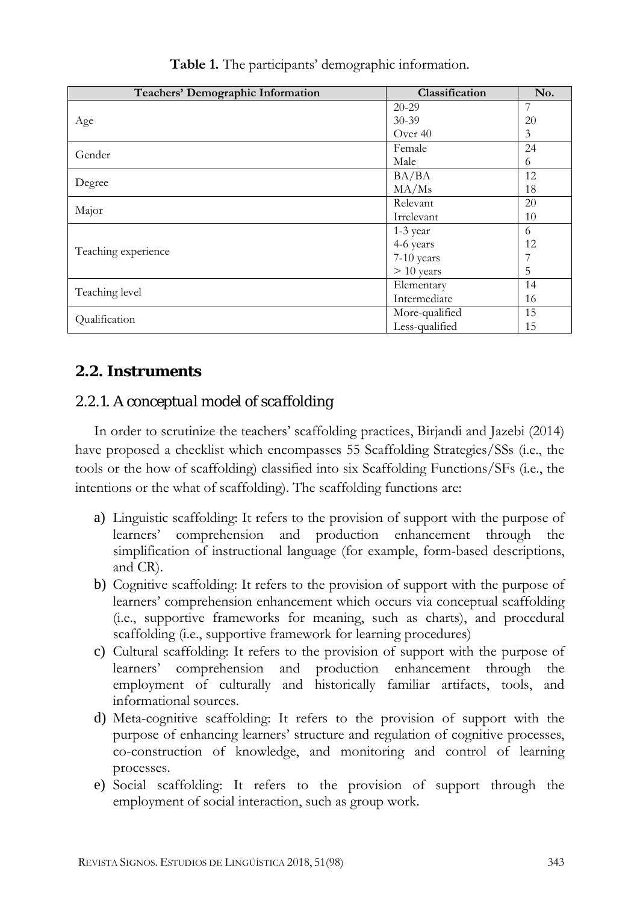| Teachers' Demographic Information | Classification | No. |
|-----------------------------------|----------------|-----|
|                                   | $20 - 29$      |     |
| Age                               | $30 - 39$      | 20  |
|                                   | Over 40        | 3   |
| Gender                            | Female         | 24  |
|                                   | Male           | 6   |
|                                   | BA/BA          | 12  |
| Degree                            | MA/Ms          | 18  |
|                                   | Relevant       | 20  |
| Major                             | Irrelevant     | 10  |
|                                   | $1-3$ year     | 6   |
|                                   | 4-6 years      | 12  |
| Teaching experience               | 7-10 years     |     |
|                                   | $> 10$ years   | 5   |
| Teaching level                    | Elementary     | 14  |
|                                   | Intermediate   | 16  |
| Qualification                     | More-qualified | 15  |
|                                   | Less-qualified | 15  |

**Table 1.** The participants' demographic information.

# *2.2. Instruments*

### *2.2.1. A conceptual model of scaffolding*

In order to scrutinize the teachers' scaffolding practices, Birjandi and Jazebi (2014) have proposed a checklist which encompasses 55 Scaffolding Strategies/SSs (i.e., the tools or the how of scaffolding) classified into six Scaffolding Functions/SFs (i.e., the intentions or the what of scaffolding). The scaffolding functions are:

- a) Linguistic scaffolding: It refers to the provision of support with the purpose of learners' comprehension and production enhancement through the simplification of instructional language (for example, form-based descriptions, and CR).
- b) Cognitive scaffolding: It refers to the provision of support with the purpose of learners' comprehension enhancement which occurs via conceptual scaffolding (i.e., supportive frameworks for meaning, such as charts), and procedural scaffolding (i.e., supportive framework for learning procedures)
- c) Cultural scaffolding: It refers to the provision of support with the purpose of learners' comprehension and production enhancement through the employment of culturally and historically familiar artifacts, tools, and informational sources.
- d) Meta-cognitive scaffolding: It refers to the provision of support with the purpose of enhancing learners' structure and regulation of cognitive processes, co-construction of knowledge, and monitoring and control of learning processes.
- e) Social scaffolding: It refers to the provision of support through the employment of social interaction, such as group work.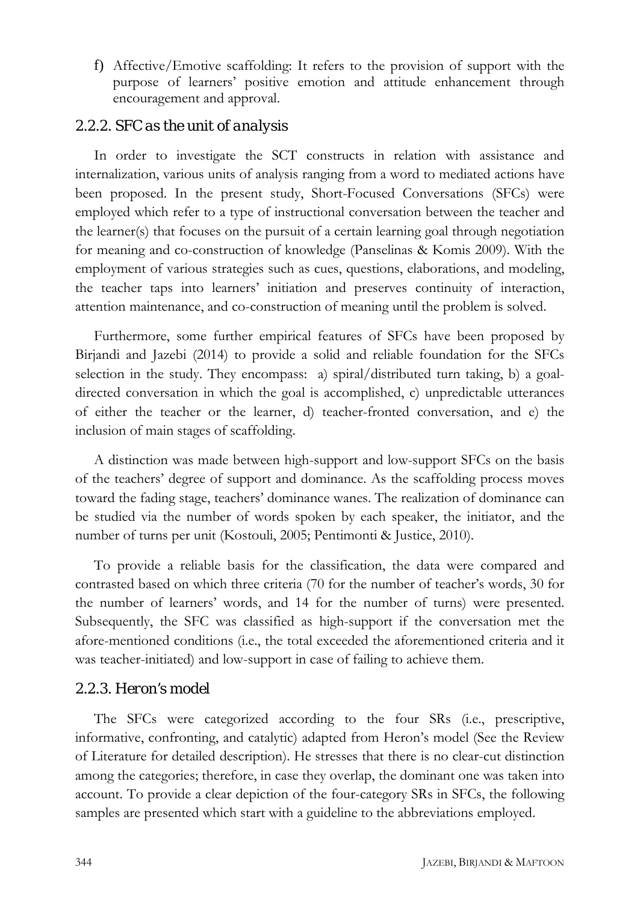f) Affective/Emotive scaffolding: It refers to the provision of support with the purpose of learners' positive emotion and attitude enhancement through encouragement and approval.

#### *2.2.2. SFC as the unit of analysis*

In order to investigate the SCT constructs in relation with assistance and internalization, various units of analysis ranging from a word to mediated actions have been proposed. In the present study, Short-Focused Conversations (SFCs) were employed which refer to a type of instructional conversation between the teacher and the learner(s) that focuses on the pursuit of a certain learning goal through negotiation for meaning and co-construction of knowledge (Panselinas & Komis 2009). With the employment of various strategies such as cues, questions, elaborations, and modeling, the teacher taps into learners' initiation and preserves continuity of interaction, attention maintenance, and co-construction of meaning until the problem is solved.

Furthermore, some further empirical features of SFCs have been proposed by Birjandi and Jazebi (2014) to provide a solid and reliable foundation for the SFCs selection in the study. They encompass: a) spiral/distributed turn taking, b) a goaldirected conversation in which the goal is accomplished, c) unpredictable utterances of either the teacher or the learner, d) teacher-fronted conversation, and e) the inclusion of main stages of scaffolding.

A distinction was made between high-support and low-support SFCs on the basis of the teachers' degree of support and dominance. As the scaffolding process moves toward the fading stage, teachers' dominance wanes. The realization of dominance can be studied via the number of words spoken by each speaker, the initiator, and the number of turns per unit (Kostouli, 2005; Pentimonti & Justice, 2010).

To provide a reliable basis for the classification, the data were compared and contrasted based on which three criteria (70 for the number of teacher's words, 30 for the number of learners' words, and 14 for the number of turns) were presented. Subsequently, the SFC was classified as high-support if the conversation met the afore-mentioned conditions (i.e., the total exceeded the aforementioned criteria and it was teacher-initiated) and low-support in case of failing to achieve them.

#### *2.2.3. Heron's model*

The SFCs were categorized according to the four SRs (i.e., prescriptive, informative, confronting, and catalytic) adapted from Heron's model (See the Review of Literature for detailed description). He stresses that there is no clear-cut distinction among the categories; therefore, in case they overlap, the dominant one was taken into account. To provide a clear depiction of the four-category SRs in SFCs, the following samples are presented which start with a guideline to the abbreviations employed.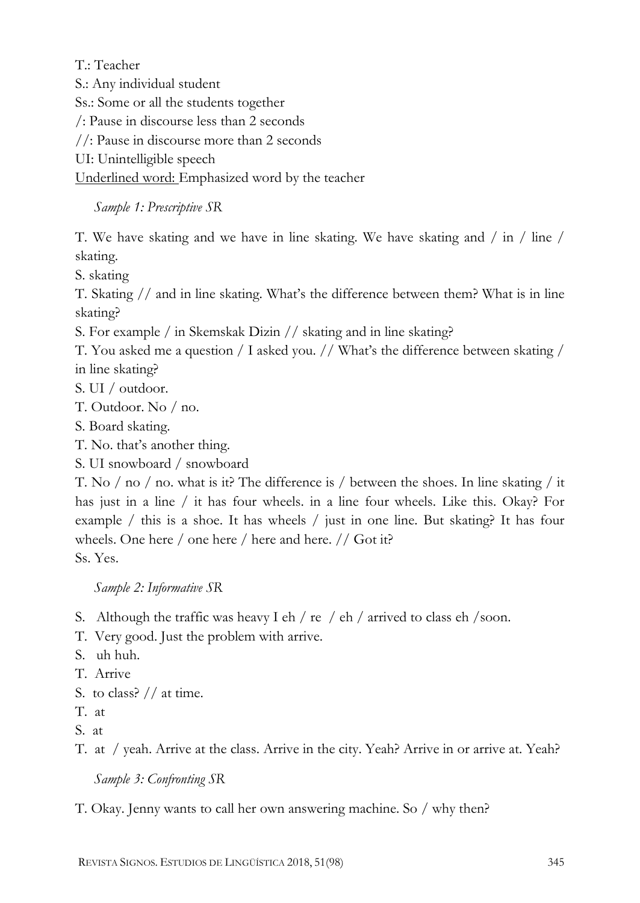T.: Teacher S.: Any individual student

Ss.: Some or all the students together

/: Pause in discourse less than 2 seconds

//: Pause in discourse more than 2 seconds

UI: Unintelligible speech

Underlined word: Emphasized word by the teacher

*Sample 1: Prescriptive SR* 

T. We have skating and we have in line skating. We have skating and / in / line / skating.

S. skating

T. Skating // and in line skating. What's the difference between them? What is in line skating?

S. For example / in Skemskak Dizin // skating and in line skating?

T. You asked me a question / I asked you. // What's the difference between skating / in line skating?

S. UI / outdoor.

- T. Outdoor. No / no.
- S. Board skating.
- T. No. that's another thing.
- S. UI snowboard / snowboard

T. No / no / no. what is it? The difference is / between the shoes. In line skating / it has just in a line / it has four wheels. in a line four wheels. Like this. Okay? For example / this is a shoe. It has wheels / just in one line. But skating? It has four wheels. One here / one here / here and here. // Got it?

Ss. Yes.

*Sample 2: Informative SR*

- S. Although the traffic was heavy I eh / re / eh / arrived to class eh / soon.
- T. Very good. Just the problem with arrive.
- S. uh huh.
- T. Arrive
- S. to class? // at time.
- T. at
- S. at
- T. at / yeah. Arrive at the class. Arrive in the city. Yeah? Arrive in or arrive at. Yeah?

*Sample 3: Confronting SR*

T. Okay. Jenny wants to call her own answering machine. So / why then?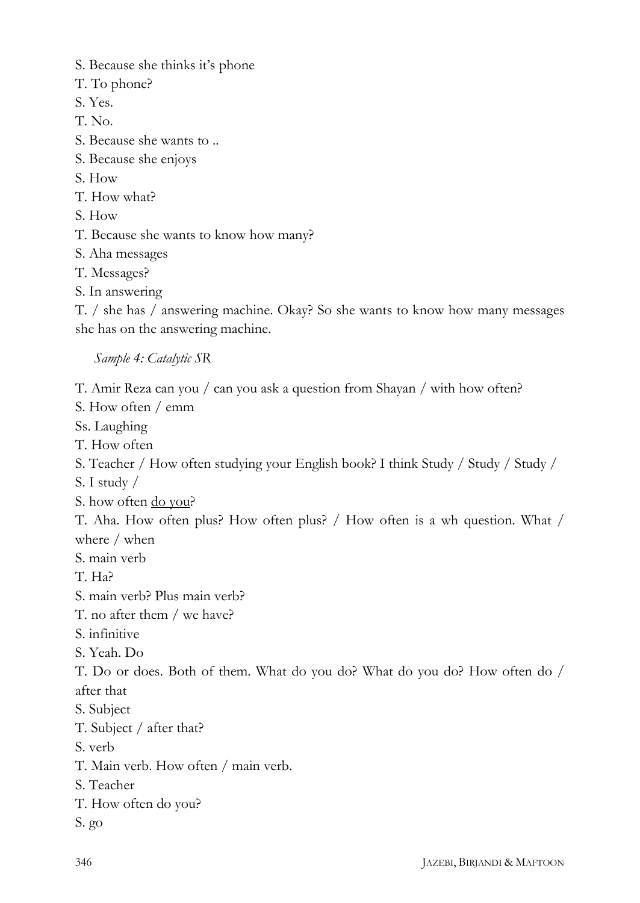- S. Because she thinks it's phone
- T. To phone?
- S. Yes.
- T. No.
- S. Because she wants to ..
- S. Because she enjoys
- S. How
- T. How what?
- S. How
- T. Because she wants to know how many?
- S. Aha messages
- T. Messages?
- S. In answering

T. / she has / answering machine. Okay? So she wants to know how many messages she has on the answering machine.

*Sample 4: Catalytic SR*

T. Amir Reza can you / can you ask a question from Shayan / with how often?

S. How often / emm

- Ss. Laughing
- T. How often
- S. Teacher / How often studying your English book? I think Study / Study / Study /
- S. I study /
- S. how often do you?

T. Aha. How often plus? How often plus? / How often is a wh question. What / where / when

S. main verb

T. Ha?

- S. main verb? Plus main verb?
- T. no after them / we have?
- S. infinitive
- S. Yeah. Do

T. Do or does. Both of them. What do you do? What do you do? How often do / after that

- S. Subject
- T. Subject / after that?
- S. verb
- T. Main verb. How often / main verb.
- S. Teacher
- T. How often do you?
- S. go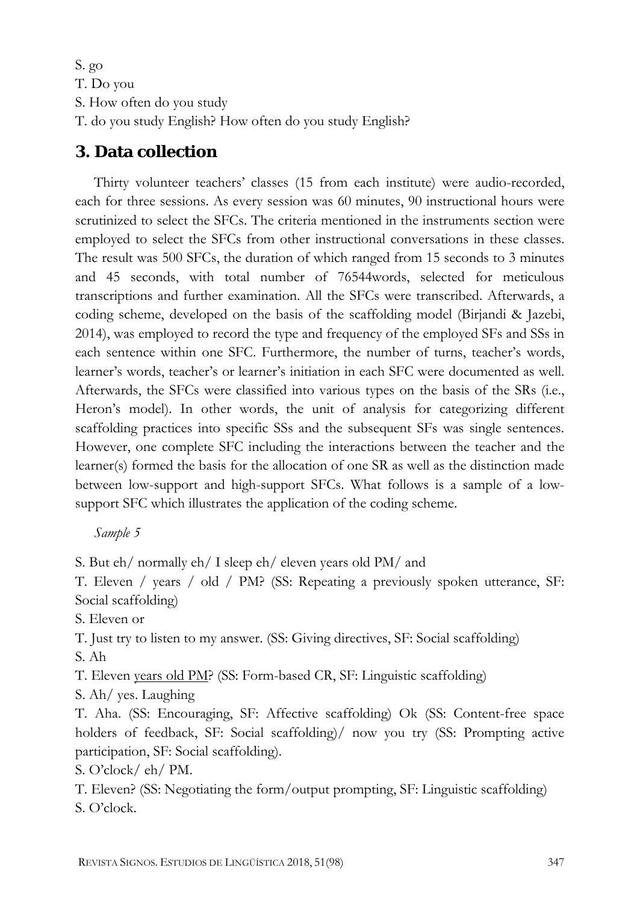S. go T. Do you S. How often do you study T. do you study English? How often do you study English?

# **3. Data collection**

Thirty volunteer teachers' classes (15 from each institute) were audio-recorded, each for three sessions. As every session was 60 minutes, 90 instructional hours were scrutinized to select the SFCs. The criteria mentioned in the instruments section were employed to select the SFCs from other instructional conversations in these classes. The result was 500 SFCs, the duration of which ranged from 15 seconds to 3 minutes and 45 seconds, with total number of 76544words, selected for meticulous transcriptions and further examination. All the SFCs were transcribed. Afterwards, a coding scheme, developed on the basis of the scaffolding model (Birjandi & Jazebi, 2014), was employed to record the type and frequency of the employed SFs and SSs in each sentence within one SFC. Furthermore, the number of turns, teacher's words, learner's words, teacher's or learner's initiation in each SFC were documented as well. Afterwards, the SFCs were classified into various types on the basis of the SRs (i.e., Heron's model). In other words, the unit of analysis for categorizing different scaffolding practices into specific SSs and the subsequent SFs was single sentences. However, one complete SFC including the interactions between the teacher and the learner(s) formed the basis for the allocation of one SR as well as the distinction made between low-support and high-support SFCs. What follows is a sample of a lowsupport SFC which illustrates the application of the coding scheme.

*Sample 5*

S. But eh/ normally eh/ I sleep eh/ eleven years old PM/ and

T. Eleven / years / old / PM? (SS: Repeating a previously spoken utterance, SF: Social scaffolding)

S. Eleven or

T. Just try to listen to my answer. (SS: Giving directives, SF: Social scaffolding)

S. Ah

T. Eleven years old PM? (SS: Form-based CR, SF: Linguistic scaffolding)

S. Ah/ yes. Laughing

T. Aha. (SS: Encouraging, SF: Affective scaffolding) Ok (SS: Content-free space holders of feedback, SF: Social scaffolding)/ now you try (SS: Prompting active participation, SF: Social scaffolding).

S. O'clock/ eh/ PM.

T. Eleven? (SS: Negotiating the form/output prompting, SF: Linguistic scaffolding) S. O'clock.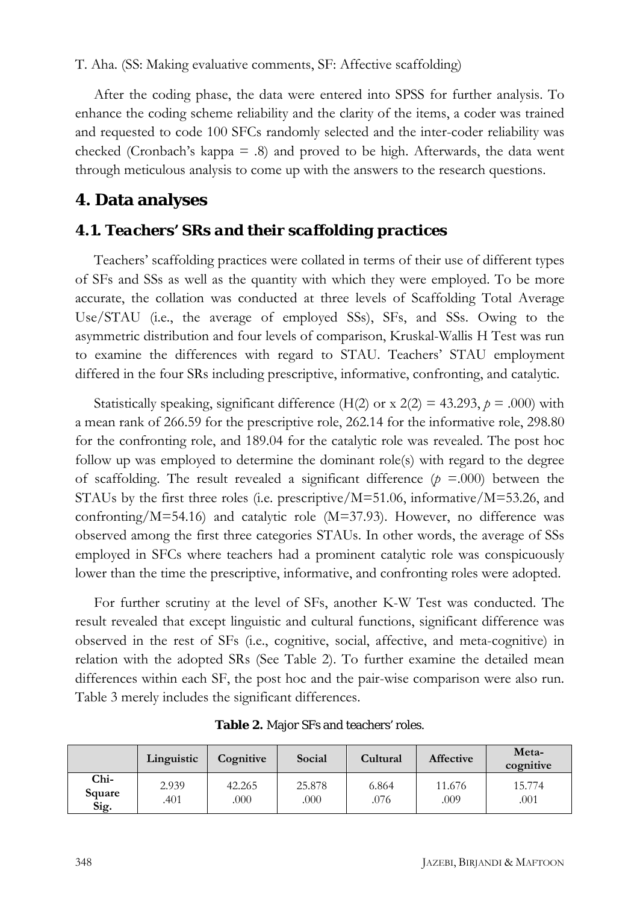T. Aha. (SS: Making evaluative comments, SF: Affective scaffolding)

After the coding phase, the data were entered into SPSS for further analysis. To enhance the coding scheme reliability and the clarity of the items, a coder was trained and requested to code 100 SFCs randomly selected and the inter-coder reliability was checked (Cronbach's kappa  $= .8$ ) and proved to be high. Afterwards, the data went through meticulous analysis to come up with the answers to the research questions.

#### **4. Data analyses**

#### *4.1. Teachers' SRs and their scaffolding practices*

Teachers' scaffolding practices were collated in terms of their use of different types of SFs and SSs as well as the quantity with which they were employed. To be more accurate, the collation was conducted at three levels of Scaffolding Total Average Use/STAU (i.e., the average of employed SSs), SFs, and SSs. Owing to the asymmetric distribution and four levels of comparison, Kruskal-Wallis H Test was run to examine the differences with regard to STAU. Teachers' STAU employment differed in the four SRs including prescriptive, informative, confronting, and catalytic.

Statistically speaking, significant difference (H(2) or x  $2(2) = 43.293$ ,  $p = .000$ ) with a mean rank of 266.59 for the prescriptive role, 262.14 for the informative role, 298.80 for the confronting role, and 189.04 for the catalytic role was revealed. The post hoc follow up was employed to determine the dominant role(s) with regard to the degree of scaffolding. The result revealed a significant difference  $(p = .000)$  between the STAUs by the first three roles (i.e. prescriptive/ $M=51.06$ , informative/ $M=53.26$ , and confronting/M=54.16) and catalytic role  $(M=37.93)$ . However, no difference was observed among the first three categories STAUs. In other words, the average of SSs employed in SFCs where teachers had a prominent catalytic role was conspicuously lower than the time the prescriptive, informative, and confronting roles were adopted.

For further scrutiny at the level of SFs, another K-W Test was conducted. The result revealed that except linguistic and cultural functions, significant difference was observed in the rest of SFs (i.e., cognitive, social, affective, and meta-cognitive) in relation with the adopted SRs (See Table 2). To further examine the detailed mean differences within each SF, the post hoc and the pair-wise comparison were also run. Table 3 merely includes the significant differences.

|                        | Linguistic    | Cognitive      | Social         | Cultural      | Affective      | Meta-<br>cognitive |
|------------------------|---------------|----------------|----------------|---------------|----------------|--------------------|
| Chi-<br>Square<br>Sig. | 2.939<br>.401 | 42.265<br>.000 | 25.878<br>.000 | 6.864<br>.076 | 11.676<br>.009 | 15.774<br>.001     |

**Table 2.** Major SFs and teachers' roles.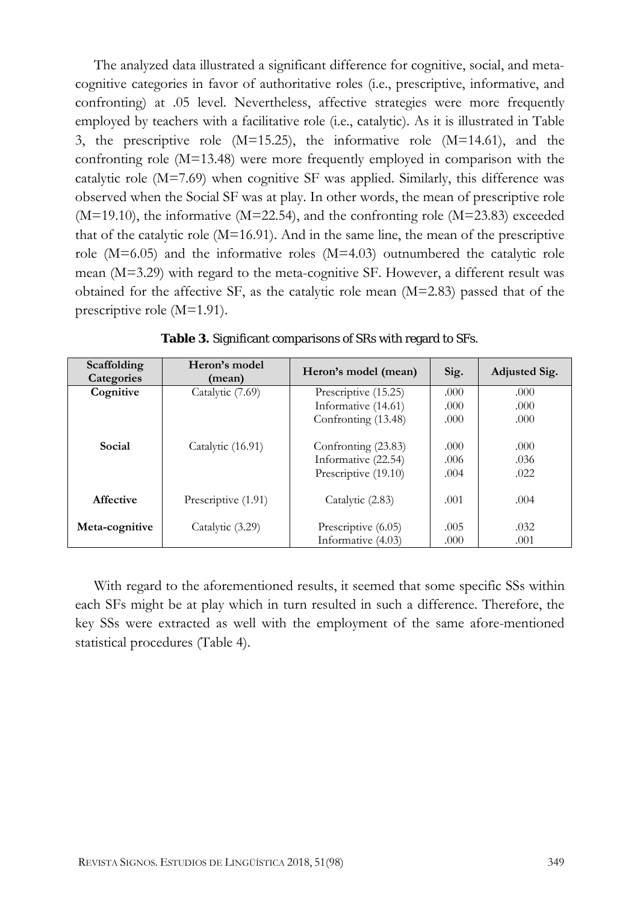The analyzed data illustrated a significant difference for cognitive, social, and metacognitive categories in favor of authoritative roles (i.e., prescriptive, informative, and confronting) at .05 level. Nevertheless, affective strategies were more frequently employed by teachers with a facilitative role (i.e., catalytic). As it is illustrated in Table 3, the prescriptive role (M=15.25), the informative role (M=14.61), and the confronting role (M=13.48) were more frequently employed in comparison with the catalytic role  $(M=7.69)$  when cognitive SF was applied. Similarly, this difference was observed when the Social SF was at play. In other words, the mean of prescriptive role  $(M=19.10)$ , the informative  $(M=22.54)$ , and the confronting role  $(M=23.83)$  exceeded that of the catalytic role (M=16.91). And in the same line, the mean of the prescriptive role ( $M=6.05$ ) and the informative roles ( $M=4.03$ ) outnumbered the catalytic role mean (M=3.29) with regard to the meta-cognitive SF. However, a different result was obtained for the affective SF, as the catalytic role mean  $(M=2.83)$  passed that of the prescriptive role (M=1.91).

| Scaffolding<br>Categories | Heron's model<br>(mean) | Heron's model (mean) | Sig. | Adjusted Sig. |
|---------------------------|-------------------------|----------------------|------|---------------|
| Cognitive                 | Catalytic (7.69)        | Prescriptive (15.25) | .000 | .000          |
|                           |                         | Informative (14.61)  | .000 | .000          |
|                           |                         | Confronting (13.48)  | .000 | .000          |
| Social                    | Catalytic (16.91)       | Confronting (23.83)  | .000 | .000          |
|                           |                         | Informative (22.54)  | .006 | .036          |
|                           |                         | Prescriptive (19.10) | .004 | .022          |
| Affective                 | Prescriptive (1.91)     | Catalytic (2.83)     | .001 | .004          |
| Meta-cognitive            | Catalytic (3.29)        | Prescriptive (6.05)  | .005 | .032          |
|                           |                         | Informative (4.03)   | .000 | .001          |

|  | Table 3. Significant comparisons of SRs with regard to SFs. |  |
|--|-------------------------------------------------------------|--|
|--|-------------------------------------------------------------|--|

With regard to the aforementioned results, it seemed that some specific SSs within each SFs might be at play which in turn resulted in such a difference. Therefore, the key SSs were extracted as well with the employment of the same afore-mentioned statistical procedures (Table 4).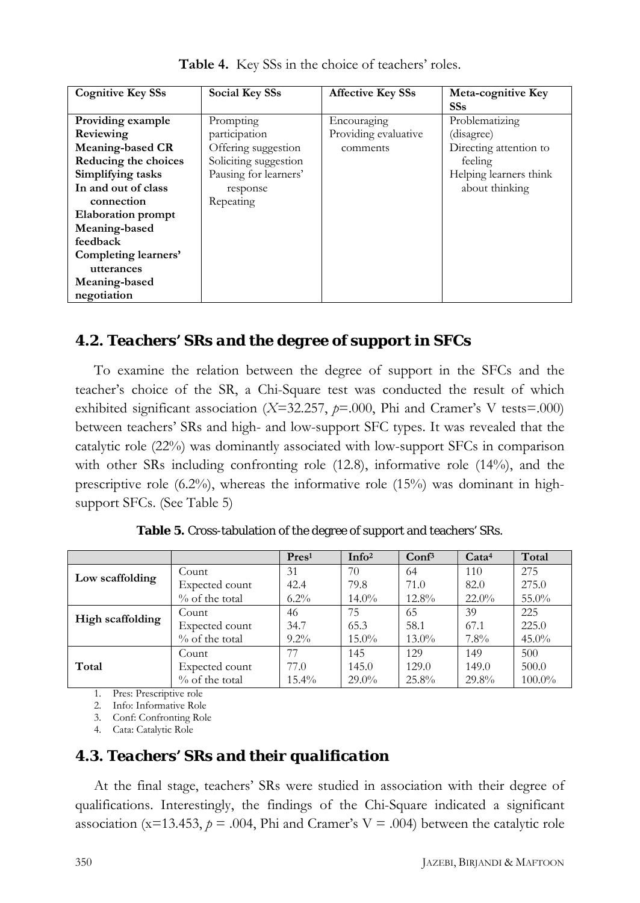| <b>Cognitive Key SSs</b> | <b>Social Key SSs</b> | <b>Affective Key SSs</b> | Meta-cognitive Key     |
|--------------------------|-----------------------|--------------------------|------------------------|
|                          |                       |                          | <b>SSs</b>             |
| Providing example        | Prompting             | Encouraging              | Problematizing         |
| Reviewing                | participation         | Providing evaluative     | (disagree)             |
| Meaning-based CR         | Offering suggestion   | comments                 | Directing attention to |
| Reducing the choices     | Soliciting suggestion |                          | feeling                |
| Simplifying tasks        | Pausing for learners' |                          | Helping learners think |
| In and out of class      | response              |                          | about thinking         |
| connection               | Repeating             |                          |                        |
| Elaboration prompt       |                       |                          |                        |
| Meaning-based            |                       |                          |                        |
| feedback                 |                       |                          |                        |
| Completing learners'     |                       |                          |                        |
| utterances               |                       |                          |                        |
| Meaning-based            |                       |                          |                        |
| negotiation              |                       |                          |                        |

**Table 4.** Key SSs in the choice of teachers' roles.

### *4.2. Teachers' SRs and the degree of support in SFCs*

To examine the relation between the degree of support in the SFCs and the teacher's choice of the SR, a Chi-Square test was conducted the result of which exhibited significant association ( $X=32.257$ ,  $p=.000$ , Phi and Cramer's V tests=.000) between teachers' SRs and high- and low-support SFC types. It was revealed that the catalytic role (22%) was dominantly associated with low-support SFCs in comparison with other SRs including confronting role (12.8), informative role (14%), and the prescriptive role  $(6.2\%)$ , whereas the informative role  $(15\%)$  was dominant in highsupport SFCs. (See Table 5)

|                  |                  | Pres <sup>1</sup> | Info <sup>2</sup> | Conf <sup>3</sup> | Cata <sup>4</sup> | Total     |
|------------------|------------------|-------------------|-------------------|-------------------|-------------------|-----------|
| Low scaffolding  | Count            | 31                | 70                | 64                | 110               | 275       |
|                  | Expected count   | 42.4              | 79.8              | 71.0              | 82.0              | 275.0     |
|                  | $%$ of the total | $6.2\%$           | $14.0\%$          | $12.8\%$          | $22.0\%$          | $55.0\%$  |
|                  | Count            | 46                | 75                | 65                | 39                | 225       |
| High scaffolding | Expected count   | 34.7              | 65.3              | 58.1              | 67.1              | 225.0     |
|                  | $%$ of the total | $9.2\%$           | $15.0\%$          | $13.0\%$          | $7.8\%$           | $45.0\%$  |
|                  | Count            | 77                | 145               | 129               | 149               | 500       |
| Total            | Expected count   | 77.0              | 145.0             | 129.0             | 149.0             | 500.0     |
|                  | $%$ of the total | $15.4\%$          | $29.0\%$          | 25.8%             | 29.8%             | $100.0\%$ |

**Table 5.** Cross-tabulation of the degree of support and teachers' SRs.

1. Pres: Prescriptive role

2. Info: Informative Role

3. Conf: Confronting Role

4. Cata: Catalytic Role

#### *4.3. Teachers' SRs and their qualification*

At the final stage, teachers' SRs were studied in association with their degree of qualifications. Interestingly, the findings of the Chi-Square indicated a significant association ( $x=13.453$ ,  $p = .004$ , Phi and Cramer's V = .004) between the catalytic role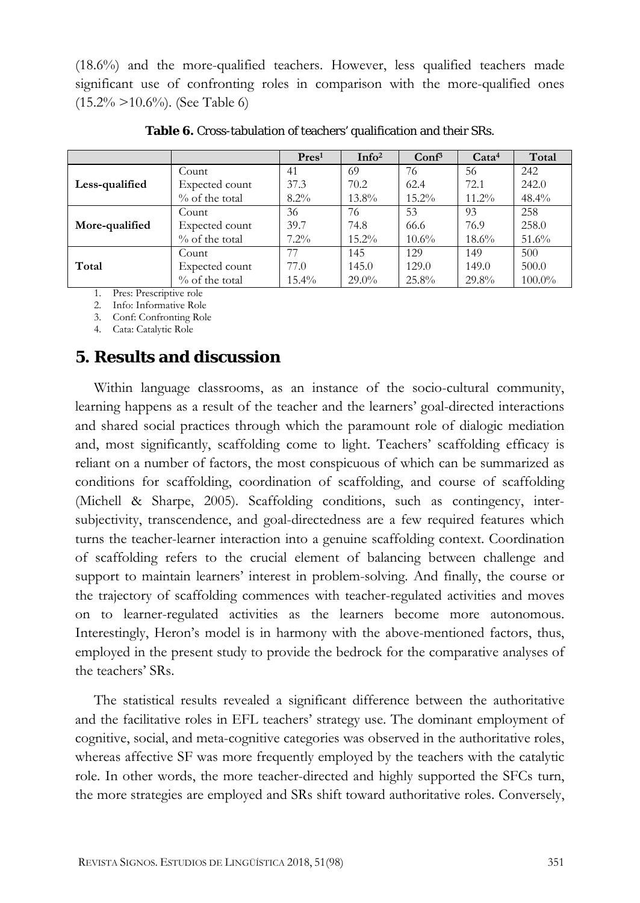(18.6%) and the more-qualified teachers. However, less qualified teachers made significant use of confronting roles in comparison with the more-qualified ones  $(15.2\% > 10.6\%)$ . (See Table 6)

|                |                   | Pres <sup>1</sup> | Info <sup>2</sup> | Conf <sup>3</sup> | Cata <sup>4</sup> | Total     |
|----------------|-------------------|-------------------|-------------------|-------------------|-------------------|-----------|
|                | Count             | 41                | 69                | 76                | 56                | 242       |
| Less-qualified | Expected count    | 37.3              | 70.2              | 62.4              | 72.1              | 242.0     |
|                | $\%$ of the total | $8.2\%$           | $13.8\%$          | $15.2\%$          | $11.2\%$          | $48.4\%$  |
|                | Count             | 36                | 76                | 53                | 93                | 258       |
| More-qualified | Expected count    | 39.7              | 74.8              | 66.6              | 76.9              | 258.0     |
|                | $%$ of the total  | $7.2\%$           | $15.2\%$          | $10.6\%$          | $18.6\%$          | 51.6%     |
|                | Count             | 77                | 145               | 129               | 149               | 500       |
| Total          | Expected count    | 77.0              | 145.0             | 129.0             | 149.0             | 500.0     |
|                | $%$ of the total  | $15.4\%$          | $29.0\%$          | 25.8%             | 29.8%             | $100.0\%$ |

**Table 6.** Cross-tabulation of teachers' qualification and their SRs.

1. Pres: Prescriptive role

2. Info: Informative Role

3. Conf: Confronting Role

4. Cata: Catalytic Role

### **5. Results and discussion**

Within language classrooms, as an instance of the socio-cultural community, learning happens as a result of the teacher and the learners' goal-directed interactions and shared social practices through which the paramount role of dialogic mediation and, most significantly, scaffolding come to light. Teachers' scaffolding efficacy is reliant on a number of factors, the most conspicuous of which can be summarized as conditions for scaffolding, coordination of scaffolding, and course of scaffolding (Michell & Sharpe, 2005). Scaffolding conditions, such as contingency, intersubjectivity, transcendence, and goal-directedness are a few required features which turns the teacher-learner interaction into a genuine scaffolding context. Coordination of scaffolding refers to the crucial element of balancing between challenge and support to maintain learners' interest in problem-solving. And finally, the course or the trajectory of scaffolding commences with teacher-regulated activities and moves on to learner-regulated activities as the learners become more autonomous. Interestingly, Heron's model is in harmony with the above-mentioned factors, thus, employed in the present study to provide the bedrock for the comparative analyses of the teachers' SRs.

The statistical results revealed a significant difference between the authoritative and the facilitative roles in EFL teachers' strategy use. The dominant employment of cognitive, social, and meta-cognitive categories was observed in the authoritative roles, whereas affective SF was more frequently employed by the teachers with the catalytic role. In other words, the more teacher-directed and highly supported the SFCs turn, the more strategies are employed and SRs shift toward authoritative roles. Conversely,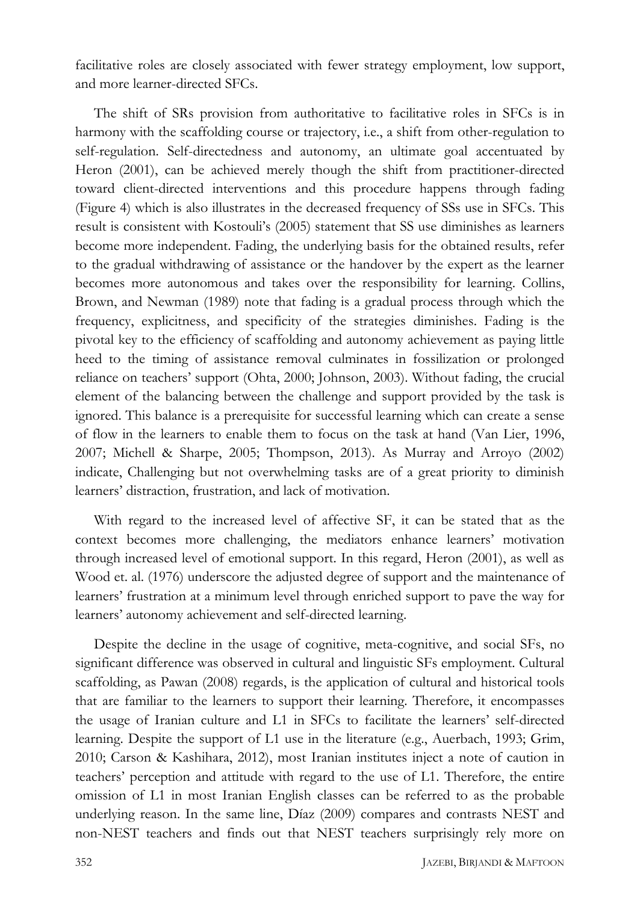facilitative roles are closely associated with fewer strategy employment, low support, and more learner-directed SFCs.

The shift of SRs provision from authoritative to facilitative roles in SFCs is in harmony with the scaffolding course or trajectory, i.e., a shift from other-regulation to self-regulation. Self-directedness and autonomy, an ultimate goal accentuated by Heron (2001), can be achieved merely though the shift from practitioner-directed toward client-directed interventions and this procedure happens through fading (Figure 4) which is also illustrates in the decreased frequency of SSs use in SFCs. This result is consistent with Kostouli's (2005) statement that SS use diminishes as learners become more independent. Fading, the underlying basis for the obtained results, refer to the gradual withdrawing of assistance or the handover by the expert as the learner becomes more autonomous and takes over the responsibility for learning. Collins, Brown, and Newman (1989) note that fading is a gradual process through which the frequency, explicitness, and specificity of the strategies diminishes. Fading is the pivotal key to the efficiency of scaffolding and autonomy achievement as paying little heed to the timing of assistance removal culminates in fossilization or prolonged reliance on teachers' support (Ohta, 2000; Johnson, 2003). Without fading, the crucial element of the balancing between the challenge and support provided by the task is ignored. This balance is a prerequisite for successful learning which can create a sense of flow in the learners to enable them to focus on the task at hand (Van Lier, 1996, 2007; Michell & Sharpe, 2005; Thompson, 2013). As Murray and Arroyo (2002) indicate, Challenging but not overwhelming tasks are of a great priority to diminish learners' distraction, frustration, and lack of motivation.

With regard to the increased level of affective SF, it can be stated that as the context becomes more challenging, the mediators enhance learners' motivation through increased level of emotional support. In this regard, Heron (2001), as well as Wood et. al. (1976) underscore the adjusted degree of support and the maintenance of learners' frustration at a minimum level through enriched support to pave the way for learners' autonomy achievement and self-directed learning.

Despite the decline in the usage of cognitive, meta-cognitive, and social SFs, no significant difference was observed in cultural and linguistic SFs employment. Cultural scaffolding, as Pawan (2008) regards, is the application of cultural and historical tools that are familiar to the learners to support their learning. Therefore, it encompasses the usage of Iranian culture and L1 in SFCs to facilitate the learners' self-directed learning. Despite the support of L1 use in the literature (e.g., Auerbach, 1993; Grim, 2010; Carson & Kashihara, 2012), most Iranian institutes inject a note of caution in teachers' perception and attitude with regard to the use of L1. Therefore, the entire omission of L1 in most Iranian English classes can be referred to as the probable underlying reason. In the same line, Díaz (2009) compares and contrasts NEST and non-NEST teachers and finds out that NEST teachers surprisingly rely more on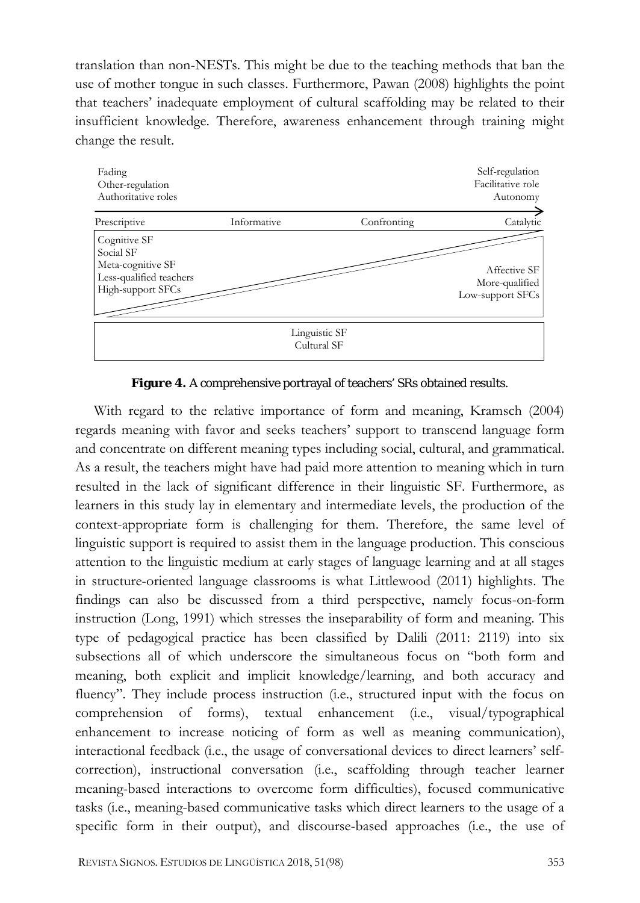translation than non-NESTs. This might be due to the teaching methods that ban the use of mother tongue in such classes. Furthermore, Pawan (2008) highlights the point that teachers' inadequate employment of cultural scaffolding may be related to their insufficient knowledge. Therefore, awareness enhancement through training might change the result.



**Figure 4.** A comprehensive portrayal of teachers' SRs obtained results.

With regard to the relative importance of form and meaning, Kramsch (2004) regards meaning with favor and seeks teachers' support to transcend language form and concentrate on different meaning types including social, cultural, and grammatical. As a result, the teachers might have had paid more attention to meaning which in turn resulted in the lack of significant difference in their linguistic SF. Furthermore, as learners in this study lay in elementary and intermediate levels, the production of the context-appropriate form is challenging for them. Therefore, the same level of linguistic support is required to assist them in the language production. This conscious attention to the linguistic medium at early stages of language learning and at all stages in structure-oriented language classrooms is what Littlewood (2011) highlights. The findings can also be discussed from a third perspective, namely focus-on-form instruction (Long, 1991) which stresses the inseparability of form and meaning. This type of pedagogical practice has been classified by Dalili (2011: 2119) into six subsections all of which underscore the simultaneous focus on "both form and meaning, both explicit and implicit knowledge/learning, and both accuracy and fluency". They include process instruction (i.e., structured input with the focus on comprehension of forms), textual enhancement (i.e., visual/typographical enhancement to increase noticing of form as well as meaning communication), interactional feedback (i.e., the usage of conversational devices to direct learners' selfcorrection), instructional conversation (i.e., scaffolding through teacher learner meaning-based interactions to overcome form difficulties), focused communicative tasks (i.e., meaning-based communicative tasks which direct learners to the usage of a specific form in their output), and discourse-based approaches (i.e., the use of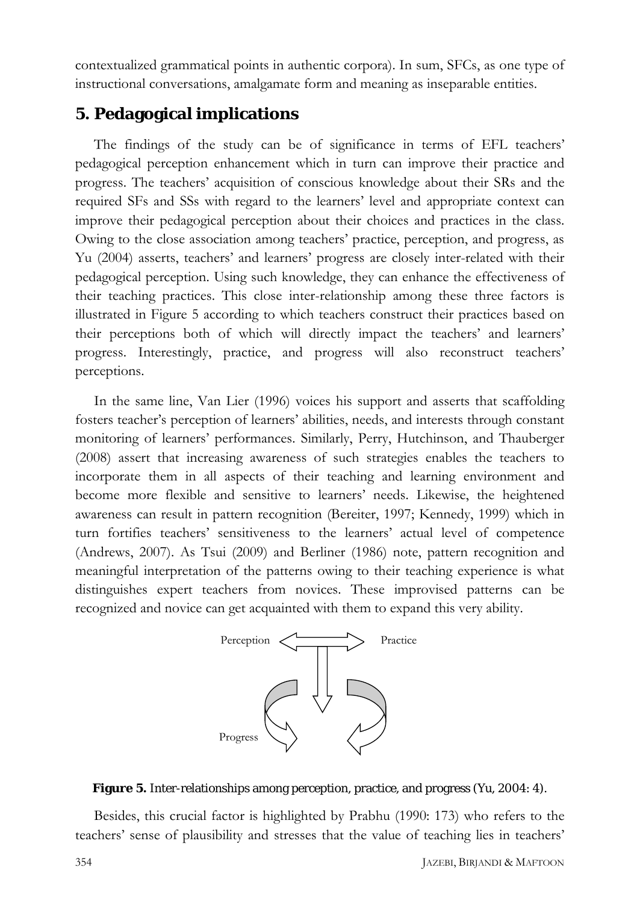contextualized grammatical points in authentic corpora). In sum, SFCs, as one type of instructional conversations, amalgamate form and meaning as inseparable entities.

## **5. Pedagogical implications**

The findings of the study can be of significance in terms of EFL teachers' pedagogical perception enhancement which in turn can improve their practice and progress. The teachers' acquisition of conscious knowledge about their SRs and the required SFs and SSs with regard to the learners' level and appropriate context can improve their pedagogical perception about their choices and practices in the class. Owing to the close association among teachers' practice, perception, and progress, as Yu (2004) asserts, teachers' and learners' progress are closely inter-related with their pedagogical perception. Using such knowledge, they can enhance the effectiveness of their teaching practices. This close inter-relationship among these three factors is illustrated in Figure 5 according to which teachers construct their practices based on their perceptions both of which will directly impact the teachers' and learners' progress. Interestingly, practice, and progress will also reconstruct teachers' perceptions.

In the same line, Van Lier (1996) voices his support and asserts that scaffolding fosters teacher's perception of learners' abilities, needs, and interests through constant monitoring of learners' performances. Similarly, Perry, Hutchinson, and Thauberger (2008) assert that increasing awareness of such strategies enables the teachers to incorporate them in all aspects of their teaching and learning environment and become more flexible and sensitive to learners' needs. Likewise, the heightened awareness can result in pattern recognition (Bereiter, 1997; Kennedy, 1999) which in turn fortifies teachers' sensitiveness to the learners' actual level of competence (Andrews, 2007). As Tsui (2009) and Berliner (1986) note, pattern recognition and meaningful interpretation of the patterns owing to their teaching experience is what distinguishes expert teachers from novices. These improvised patterns can be recognized and novice can get acquainted with them to expand this very ability.



#### **Figure 5.** Inter-relationships among perception, practice, and progress (Yu, 2004: 4).

Besides, this crucial factor is highlighted by Prabhu (1990: 173) who refers to the teachers' sense of plausibility and stresses that the value of teaching lies in teachers'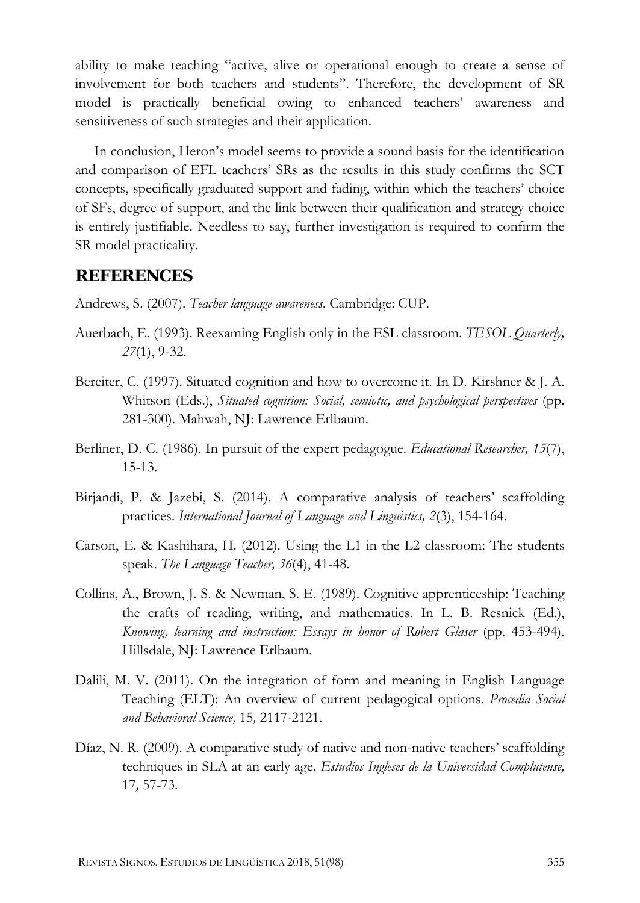ability to make teaching "active, alive or operational enough to create a sense of involvement for both teachers and students". Therefore, the development of SR model is practically beneficial owing to enhanced teachers' awareness and sensitiveness of such strategies and their application.

In conclusion, Heron's model seems to provide a sound basis for the identification and comparison of EFL teachers' SRs as the results in this study confirms the SCT concepts, specifically graduated support and fading, within which the teachers' choice of SFs, degree of support, and the link between their qualification and strategy choice is entirely justifiable. Needless to say, further investigation is required to confirm the SR model practicality.

#### **REFERENCES**

Andrews, S. (2007). *Teacher language awareness*. Cambridge: CUP.

- Auerbach, E. (1993). Reexaming English only in the ESL classroom. *TESOL Quarterly, 27*(1), 9-32.
- Bereiter, C. (1997). Situated cognition and how to overcome it. In D. Kirshner & J. A. Whitson (Eds.), *Situated cognition: Social, semiotic, and psychological perspectives* (pp. 281-300). Mahwah, NJ: Lawrence Erlbaum.
- Berliner, D. C. (1986). In pursuit of the expert pedagogue. *Educational Researcher, 15*(7), 15-13.
- Birjandi, P. & Jazebi, S. (2014). A comparative analysis of teachers' scaffolding practices. *International Journal of Language and Linguistics, 2*(3), 154-164.
- Carson, E. & Kashihara, H. (2012). Using the L1 in the L2 classroom: The students speak. *The Language Teacher, 36*(4), 41-48.
- Collins, A., Brown, J. S. & Newman, S. E. (1989). Cognitive apprenticeship: Teaching the crafts of reading, writing, and mathematics. In L. B. Resnick (Ed.), *Knowing, learning and instruction: Essays in honor of Robert Glaser* (pp. 453-494). Hillsdale, NJ: Lawrence Erlbaum.
- Dalili, M. V. (2011). On the integration of form and meaning in English Language Teaching (ELT): An overview of current pedagogical options. *Procedia Social and Behavioral Science,* 15*,* 2117-2121.
- Díaz, N. R. (2009). A comparative study of native and non-native teachers' scaffolding techniques in SLA at an early age. *Estudios Ingleses de la Universidad Complutense,*  17*,* 57-73.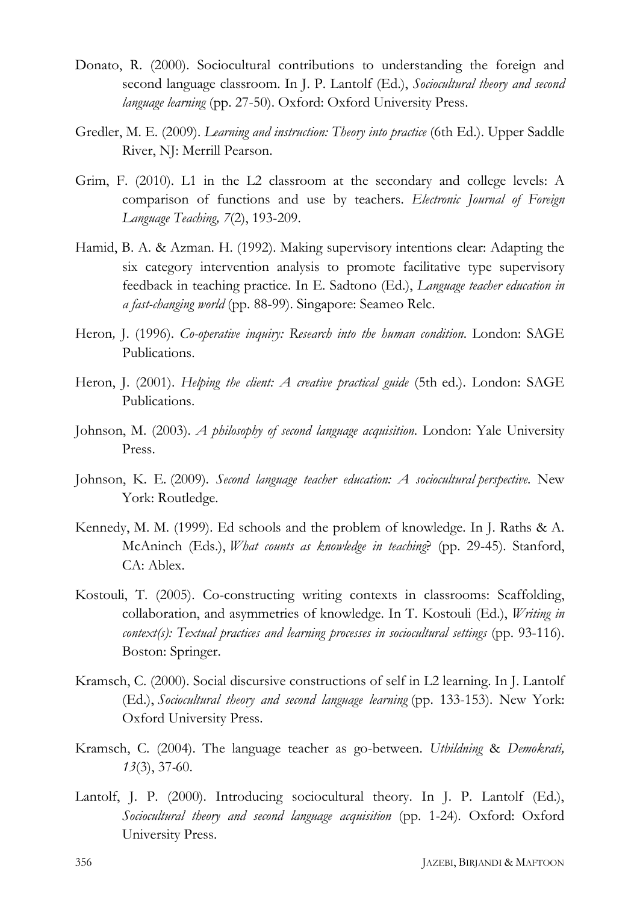- Donato, R. (2000). Sociocultural contributions to understanding the foreign and second language classroom. In J. P. Lantolf (Ed.), *Sociocultural theory and second language learning* (pp. 27-50). Oxford: Oxford University Press.
- Gredler, M. E. (2009). *Learning and instruction: Theory into practice* (6th Ed.). Upper Saddle River, NJ: Merrill Pearson.
- Grim, F. (2010). L1 in the L2 classroom at the secondary and college levels: A comparison of functions and use by teachers. *Electronic Journal of Foreign Language Teaching, 7*(2), 193-209.
- Hamid, B. A. & Azman. H. (1992). Making supervisory intentions clear: Adapting the six category intervention analysis to promote facilitative type supervisory feedback in teaching practice. In E. Sadtono (Ed.), *Language teacher education in a fast-changing world* (pp. 88-99). Singapore: Seameo Relc.
- Heron*,* J. (1996). *Co-operative inquiry: Research into the human condition*. London: SAGE Publications.
- Heron, J. (2001). *Helping the client: A creative practical guide* (5th ed.). London: SAGE Publications.
- Johnson, M. (2003). *A philosophy of second language acquisition*. London: Yale University Press.
- Johnson, K. E. (2009)*. Second language teacher education: A sociocultural perspective*. New York: Routledge.
- Kennedy, M. M. (1999). Ed schools and the problem of knowledge. In J. Raths & A. McAninch (Eds.), *What counts as knowledge in teaching*? (pp. 29-45). Stanford, CA: Ablex.
- Kostouli, T. (2005). Co-constructing writing contexts in classrooms: Scaffolding, collaboration, and asymmetries of knowledge. In T. Kostouli (Ed.), *Writing in context(s)*: Textual practices and learning processes in sociocultural settings (pp. 93-116). Boston: Springer.
- Kramsch, C. (2000). Social discursive constructions of self in L2 learning. In J. Lantolf (Ed.), *Sociocultural theory and second language learning* (pp. 133-153). New York: Oxford University Press.
- Kramsch, C. (2004). The language teacher as go-between. *Utbildning* & *Demokrati, 13*(3), 37*-*60.
- Lantolf, J. P. (2000). Introducing sociocultural theory. In J. P. Lantolf (Ed.), *Sociocultural theory and second language acquisition* (pp. 1-24)*.* Oxford: Oxford University Press.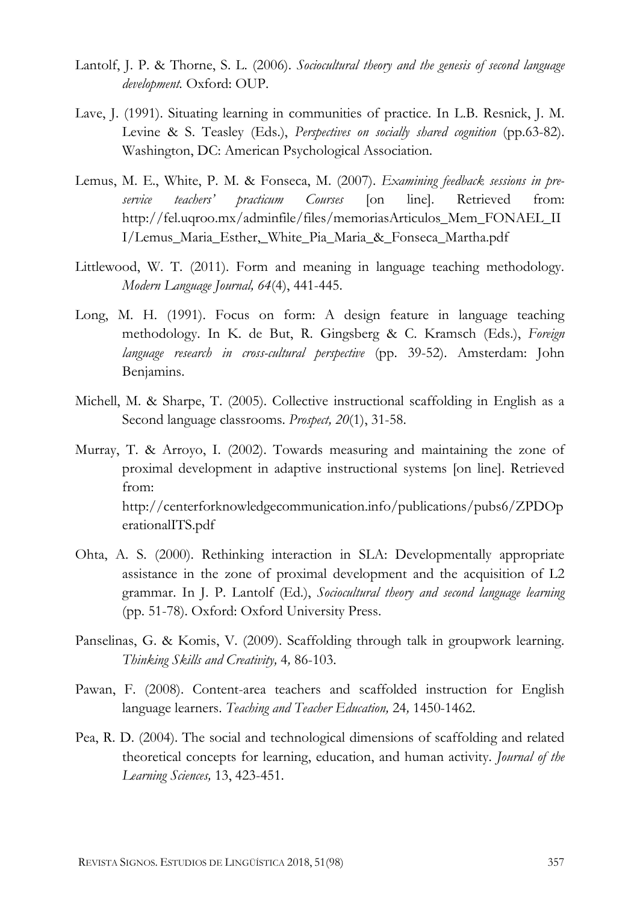- Lantolf, J. P. & Thorne, S. L. (2006). *Sociocultural theory and the genesis of second language development.* Oxford: OUP.
- Lave, J. (1991). Situating learning in communities of practice. In L.B. Resnick, J. M. Levine & S. Teasley (Eds.), *Perspectives on socially shared cognition* (pp.63-82). Washington, DC: American Psychological Association.
- Lemus, M. E., White, P. M. & Fonseca, M. (2007). *Examining feedback sessions in preservice teachers' practicum Courses* [on line]. Retrieved from: [http://fel.uqroo.mx/adminfile/files/memoriasArticulos\\_Mem\\_FONAEL\\_II](http://fel.uqroo.mx/adminfile/files/memoriasArticulos_Mem_FONAEL_III/Lemus_Maria_Esther,_White_Pia_Maria_&_Fonseca_Martha.pdf) [I/Lemus\\_Maria\\_Esther,\\_White\\_Pia\\_Maria\\_&\\_Fonseca\\_Martha.pdf](http://fel.uqroo.mx/adminfile/files/memoriasArticulos_Mem_FONAEL_III/Lemus_Maria_Esther,_White_Pia_Maria_&_Fonseca_Martha.pdf)
- Littlewood, W. T. (2011). Form and meaning in language teaching methodology. *Modern Language Journal, 64*(4), 441-445.
- Long, M. H. (1991). Focus on form: A design feature in language teaching methodology. In K. de But, R. Gingsberg & C. Kramsch (Eds.), *Foreign language research in cross-cultural perspective* (pp. 39-52). Amsterdam: John Benjamins.
- Michell, M. & Sharpe, T. (2005). Collective instructional scaffolding in English as a Second language classrooms. *Prospect, 20*(1), 31-58.
- Murray, T. & Arroyo, I. (2002). Towards measuring and maintaining the zone of proximal development in adaptive instructional systems [on line]. Retrieved from: [http://centerforknowledgecommunication.info/publications/pubs6/ZPDOp](http://centerforknowledgecommunication.info/publications/pubs6/ZPDOperationalITS.pdf) [erationalITS.pdf](http://centerforknowledgecommunication.info/publications/pubs6/ZPDOperationalITS.pdf)
- Ohta, A. S. (2000). Rethinking interaction in SLA: Developmentally appropriate assistance in the zone of proximal development and the acquisition of L2 grammar. In J. P. Lantolf (Ed.), *Sociocultural theory and second language learning*  (pp. 51-78). Oxford: Oxford University Press.
- Panselinas, G. & Komis, V. (2009). Scaffolding through talk in groupwork learning. *Thinking Skills and Creativity,* 4*,* 86-103.
- Pawan, F. (2008). Content-area teachers and scaffolded instruction for English language learners. *Teaching and Teacher Education,* 24*,* 1450-1462.
- Pea, R. D. (2004). The social and technological dimensions of scaffolding and related theoretical concepts for learning, education, and human activity. *Journal of the Learning Sciences,* 13, 423-451.